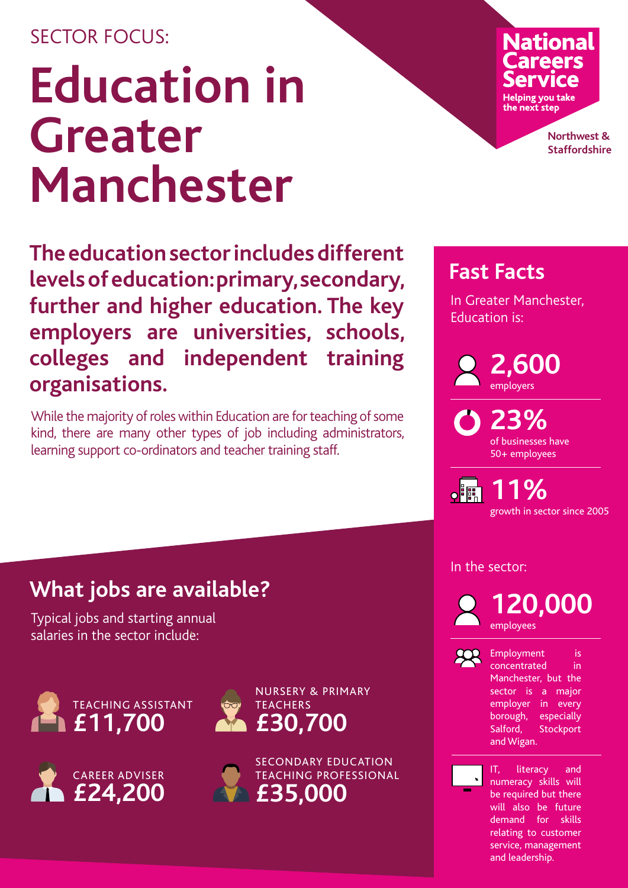## SECTOR FOCUS<sup>.</sup>

## **Education in Greater Manchester**

**The education sector includes different levels of education: primary, secondary, further and higher education. The key employers are universities, schools, colleges and independent training organisations.**

While the majority of roles within Education are for teaching of some kind, there are many other types of job including administrators, learning support co-ordinators and teacher training staff.

# **National**

**Helping you take** the next step

> **Northwest & Staffordshire**

## **Fast Facts**

In Greater Manchester, Education is:

> **2,600** employers

**23%** of businesses have 50+ employees

**11%**  $\mathsf{o}$  $\mathsf{IF}$ growth in sector since 2005

## **What jobs are available?**

Typical jobs and starting annual salaries in the sector include:









In the sector:

![](_page_0_Picture_19.jpeg)

**120,000** employees

![](_page_0_Picture_21.jpeg)

Employment is concentrated in Manchester, but the sector is a major employer in every borough, especially Salford, Stockport and Wigan.

![](_page_0_Picture_23.jpeg)

IT, literacy and numeracy skills will be required but there will also be future demand for skills relating to customer service, management and leadership.